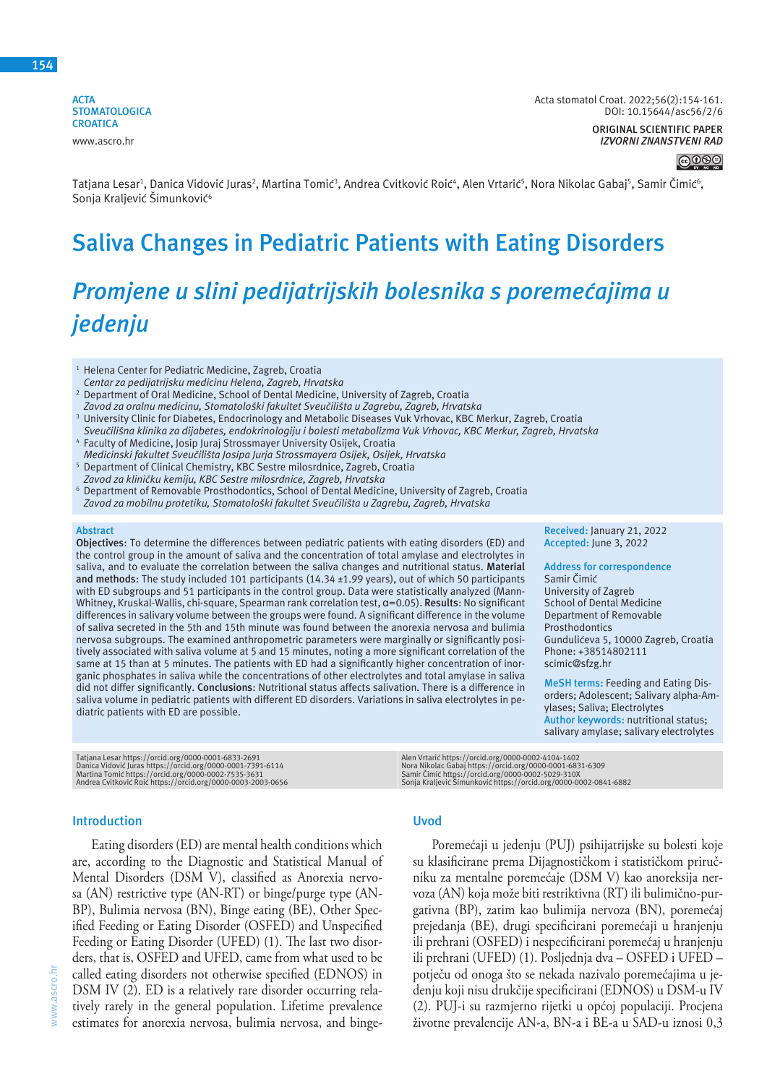**154**

**ACTA STOMATOLOGICA CROATICA** www.ascro.hr

**ORIGINAL SCIENTIFIC PAPER** *IZVORNI ZNANSTVENI RAD*

 $\bigcirc\, \textcircled{\scriptsize\circ} \oplus$ 

Tatjana Lesar<sup>1</sup>, Danica Vidović Juras<sup>2</sup>, Martina Tomić<sup>3</sup>, Andrea Cvitković Roić<sup>4</sup>, Alen Vrtarić<sup>s</sup>, Nora Nikolac Gabaj<sup>s</sup>, Samir Čimić<sup>6</sup>, Sonja Kraljević Šimunković<sup>6</sup>

## **Saliva Changes in Pediatric Patients with Eating Disorders**

# *Promjene u slini pedijatrijskih bolesnika s poremećajima u jedenju*

<sup>1</sup> Helena Center for Pediatric Medicine, Zagreb, Croatia *Centar za pedijatrijsku medicinu Helena, Zagreb, Hrvatska*

- <sup>2</sup> Department of Oral Medicine, School of Dental Medicine, University of Zagreb, Croatia *Zavod za oralnu medicinu, Stomatološki fakultet Sveučilišta u Zagrebu, Zagreb, Hrvatska*
- 3 University Clinic for Diabetes, Endocrinology and Metabolic Diseases Vuk Vrhovac, KBC Merkur, Zagreb, Croatia *Sveučilišna klinika za dijabetes, endokrinologiju i bolesti metabolizma Vuk Vrhovac, KBC Merkur, Zagreb, Hrvatska*
- 4 Faculty of Medicine, Josip Juraj Strossmayer University Osijek, Croatia
- *Medicinski fakultet Sveučilišta Josipa Jurja Strossmayera Osijek, Osijek, Hrvatska* <sup>5</sup> Department of Clinical Chemistry, KBC Sestre milosrdnice, Zagreb, Croatia
- *Zavod za kliničku kemiju, KBC Sestre milosrdnice, Zagreb, Hrvatska* 6 Department of Removable Prosthodontics, School of Dental Medicine, University of Zagreb, Croatia
- *Zavod za mobilnu protetiku, Stomatološki fakultet Sveučilišta u Zagrebu, Zagreb, Hrvatska*

#### **Abstract**

**Objectives**: To determine the differences between pediatric patients with eating disorders (ED) and the control group in the amount of saliva and the concentration of total amylase and electrolytes in saliva, and to evaluate the correlation between the saliva changes and nutritional status. **Material and methods**: The study included 101 participants (14.34 ±1.99 years), out of which 50 participants with ED subgroups and 51 participants in the control group. Data were statistically analyzed (Mann-Whitney, Kruskal-Wallis, chi-square, Spearman rank correlation test, α=0.05). **Results**: No significant differences in salivary volume between the groups were found. A significant difference in the volume of saliva secreted in the 5th and 15th minute was found between the anorexia nervosa and bulimia nervosa subgroups. The examined anthropometric parameters were marginally or significantly positively associated with saliva volume at 5 and 15 minutes, noting a more significant correlation of the same at 15 than at 5 minutes. The patients with ED had a significantly higher concentration of inorganic phosphates in saliva while the concentrations of other electrolytes and total amylase in saliva did not differ significantly. **Conclusions**: Nutritional status affects salivation. There is a difference in saliva volume in pediatric patients with different ED disorders. Variations in saliva electrolytes in pediatric patients with ED are possible.

Tatjana Lesar https://orcid.org/0000-0001-6833-2691<br>Danica Vidović Juras https://orcid.org/0000-0001-7391-6114<br>Martina Tomić https://orcid.org/0000-0002-7535-3631<br>Andrea Cvitković Roić https://orcid.org/0000-0003-2003-0656

#### **Introduction**

Eating disorders (ED) are mental health conditions which are, according to the Diagnostic and Statistical Manual of Mental Disorders (DSM V), classified as Anorexia nervosa (AN) restrictive type (AN-RT) or binge/purge type (AN-BP), Bulimia nervosa (BN), Binge eating (BE), Other Specified Feeding or Eating Disorder (OSFED) and Unspecified Feeding or Eating Disorder (UFED) (1). The last two disorders, that is, OSFED and UFED, came from what used to be called eating disorders not otherwise specified (EDNOS) in DSM IV (2). ED is a relatively rare disorder occurring relatively rarely in the general population. Lifetime prevalence estimates for anorexia nervosa, bulimia nervosa, and binge-

### **Uvod**

Poremećaji u jedenju (PUJ) psihijatrijske su bolesti koje su klasificirane prema Dijagnostičkom i statističkom priručniku za mentalne poremećaje (DSM V) kao anoreksija nervoza (AN) koja može biti restriktivna (RT) ili bulimično-purgativna (BP), zatim kao bulimija nervoza (BN), poremećaj prejedanja (BE), drugi specificirani poremećaji u hranjenju ili prehrani (OSFED) i nespecificirani poremećaj u hranjenju ili prehrani (UFED) (1). Posljednja dva – OSFED i UFED – potječu od onoga što se nekada nazivalo poremećajima u jedenju koji nisu drukčije specificirani (EDNOS) u DSM-u IV (2). PUJ-i su razmjerno rijetki u općoj populaciji. Procjena životne prevalencije AN-a, BN-a i BE-a u SAD-u iznosi 0,3

Alen Vrtarić https://orcid.org/0000-0002-4104-1402<br>Nora Nikolac Gabaj https://orcid.org/0000-0001-6831-6309<br>Samir Čimić https://orcid.org/0000-0002-5029-310X<br>Sonja Kraljević Šimunković https://orcid.org/0000-0002-0841-6882

**Address for correspondence** Samir Čimić University of Zagreb School of Dental Medicine Department of Removable Prosthodontics Gundulićeva 5, 10000 Zagreb, Croatia Phone: +38514802111 scimic@sfzg.hr

**MeSH terms:** Feeding and Eating Disorders; Adolescent; Salivary alpha-Amylases; Saliva; Electrolytes **Author keywords:** nutritional status; salivary amylase; salivary electrolytes

**Received:** January 21, 2022 **Accepted:** June 3, 2022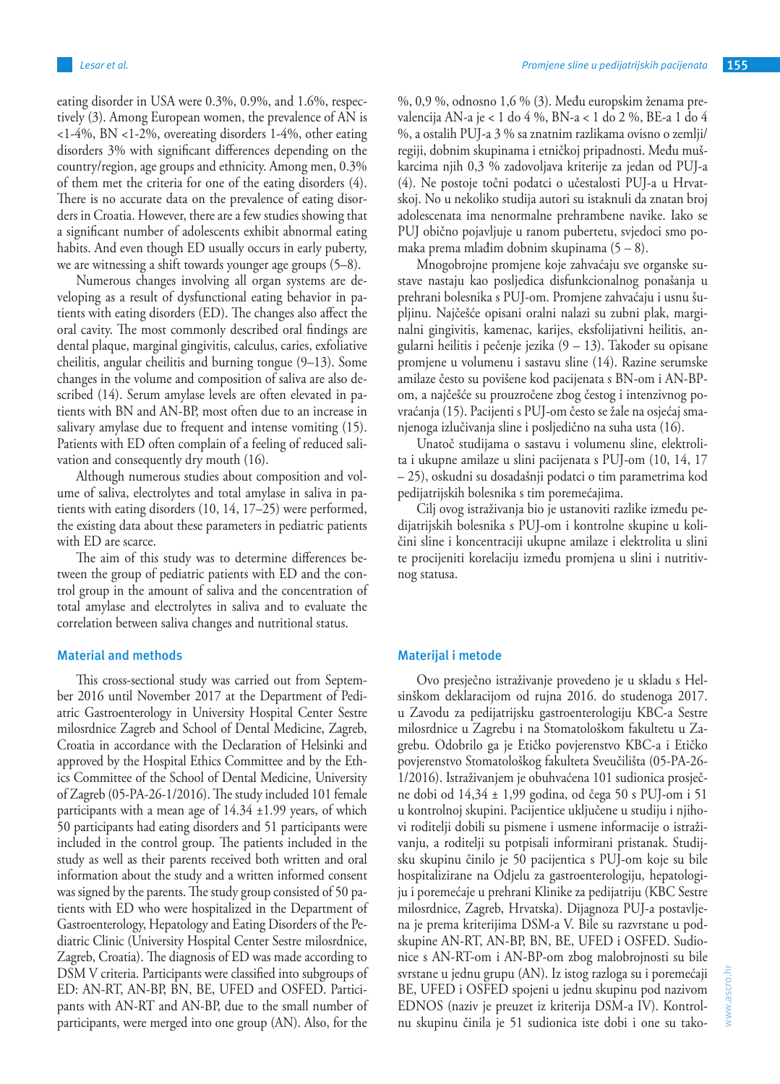eating disorder in USA were 0.3%, 0.9%, and 1.6%, respectively (3). Among European women, the prevalence of AN is <1-4%, BN <1-2%, overeating disorders 1-4%, other eating disorders 3% with significant differences depending on the country/region, age groups and ethnicity. Among men, 0.3% of them met the criteria for one of the eating disorders (4). There is no accurate data on the prevalence of eating disorders in Croatia. However, there are a few studies showing that a significant number of adolescents exhibit abnormal eating habits. And even though ED usually occurs in early puberty, we are witnessing a shift towards younger age groups (5–8).

Numerous changes involving all organ systems are developing as a result of dysfunctional eating behavior in patients with eating disorders (ED). The changes also affect the oral cavity. The most commonly described oral findings are dental plaque, marginal gingivitis, calculus, caries, exfoliative cheilitis, angular cheilitis and burning tongue (9–13). Some changes in the volume and composition of saliva are also described (14). Serum amylase levels are often elevated in patients with BN and AN-BP, most often due to an increase in salivary amylase due to frequent and intense vomiting (15). Patients with ED often complain of a feeling of reduced salivation and consequently dry mouth (16).

Although numerous studies about composition and volume of saliva, electrolytes and total amylase in saliva in patients with eating disorders (10, 14, 17–25) were performed, the existing data about these parameters in pediatric patients with ED are scarce.

The aim of this study was to determine differences between the group of pediatric patients with ED and the control group in the amount of saliva and the concentration of total amylase and electrolytes in saliva and to evaluate the correlation between saliva changes and nutritional status.

#### **Material and methods**

This cross-sectional study was carried out from September 2016 until November 2017 at the Department of Pediatric Gastroenterology in University Hospital Center Sestre milosrdnice Zagreb and School of Dental Medicine, Zagreb, Croatia in accordance with the Declaration of Helsinki and approved by the Hospital Ethics Committee and by the Ethics Committee of the School of Dental Medicine, University of Zagreb (05-PA-26-1/2016). The study included 101 female participants with a mean age of  $14.34 \pm 1.99$  years, of which 50 participants had eating disorders and 51 participants were included in the control group. The patients included in the study as well as their parents received both written and oral information about the study and a written informed consent was signed by the parents. The study group consisted of 50 patients with ED who were hospitalized in the Department of Gastroenterology, Hepatology and Eating Disorders of the Pediatric Clinic (University Hospital Center Sestre milosrdnice, Zagreb, Croatia). The diagnosis of ED was made according to DSM V criteria. Participants were classified into subgroups of ED: AN-RT, AN-BP, BN, BE, UFED and OSFED. Participants with AN-RT and AN-BP, due to the small number of participants, were merged into one group (AN). Also, for the

%, 0,9 %, odnosno 1,6 % (3). Među europskim ženama prevalencija AN-a je < 1 do 4 %, BN-a < 1 do 2 %, BE-a 1 do 4 %, a ostalih PUJ-a 3 % sa znatnim razlikama ovisno o zemlji/ regiji, dobnim skupinama i etničkoj pripadnosti. Među muškarcima njih 0,3 % zadovoljava kriterije za jedan od PUJ-a (4). Ne postoje točni podatci o učestalosti PUJ-a u Hrvatskoj. No u nekoliko studija autori su istaknuli da znatan broj adolescenata ima nenormalne prehrambene navike. Iako se PUJ obično pojavljuje u ranom pubertetu, svjedoci smo pomaka prema mlađim dobnim skupinama (5 – 8).

Mnogobrojne promjene koje zahvaćaju sve organske sustave nastaju kao posljedica disfunkcionalnog ponašanja u prehrani bolesnika s PUJ-om. Promjene zahvaćaju i usnu šupljinu. Najčešće opisani oralni nalazi su zubni plak, marginalni gingivitis, kamenac, karijes, eksfolijativni heilitis, angularni heilitis i pečenje jezika (9 – 13). Također su opisane promjene u volumenu i sastavu sline (14). Razine serumske amilaze često su povišene kod pacijenata s BN-om i AN-BPom, a najčešće su prouzročene zbog čestog i intenzivnog povraćanja (15). Pacijenti s PUJ-om često se žale na osjećaj smanjenoga izlučivanja sline i posljedično na suha usta (16).

Unatoč studijama o sastavu i volumenu sline, elektrolita i ukupne amilaze u slini pacijenata s PUJ-om (10, 14, 17 – 25), oskudni su dosadašnji podatci o tim parametrima kod pedijatrijskih bolesnika s tim poremećajima.

Cilj ovog istraživanja bio je ustanoviti razlike između pedijatrijskih bolesnika s PUJ-om i kontrolne skupine u količini sline i koncentraciji ukupne amilaze i elektrolita u slini te procijeniti korelaciju između promjena u slini i nutritivnog statusa.

#### **Materijal i metode**

Ovo presječno istraživanje provedeno je u skladu s Helsinškom deklaracijom od rujna 2016. do studenoga 2017. u Zavodu za pedijatrijsku gastroenterologiju KBC-a Sestre milosrdnice u Zagrebu i na Stomatološkom fakultetu u Zagrebu. Odobrilo ga je Etičko povjerenstvo KBC-a i Etičko povjerenstvo Stomatološkog fakulteta Sveučilišta (05-PA-26- 1/2016). Istraživanjem je obuhvaćena 101 sudionica prosječne dobi od 14,34 ± 1,99 godina, od čega 50 s PUJ-om i 51 u kontrolnoj skupini. Pacijentice uključene u studiju i njihovi roditelji dobili su pismene i usmene informacije o istraživanju, a roditelji su potpisali informirani pristanak. Studijsku skupinu činilo je 50 pacijentica s PUJ-om koje su bile hospitalizirane na Odjelu za gastroenterologiju, hepatologiju i poremećaje u prehrani Klinike za pedijatriju (KBC Sestre milosrdnice, Zagreb, Hrvatska). Dijagnoza PUJ-a postavljena je prema kriterijima DSM-a V. Bile su razvrstane u podskupine AN-RT, AN-BP, BN, BE, UFED i OSFED. Sudionice s AN-RT-om i AN-BP-om zbog malobrojnosti su bile svrstane u jednu grupu (AN). Iz istog razloga su i poremećaji BE, UFED i OSFED spojeni u jednu skupinu pod nazivom EDNOS (naziv je preuzet iz kriterija DSM-a IV). Kontrolnu skupinu činila je 51 sudionica iste dobi i one su tako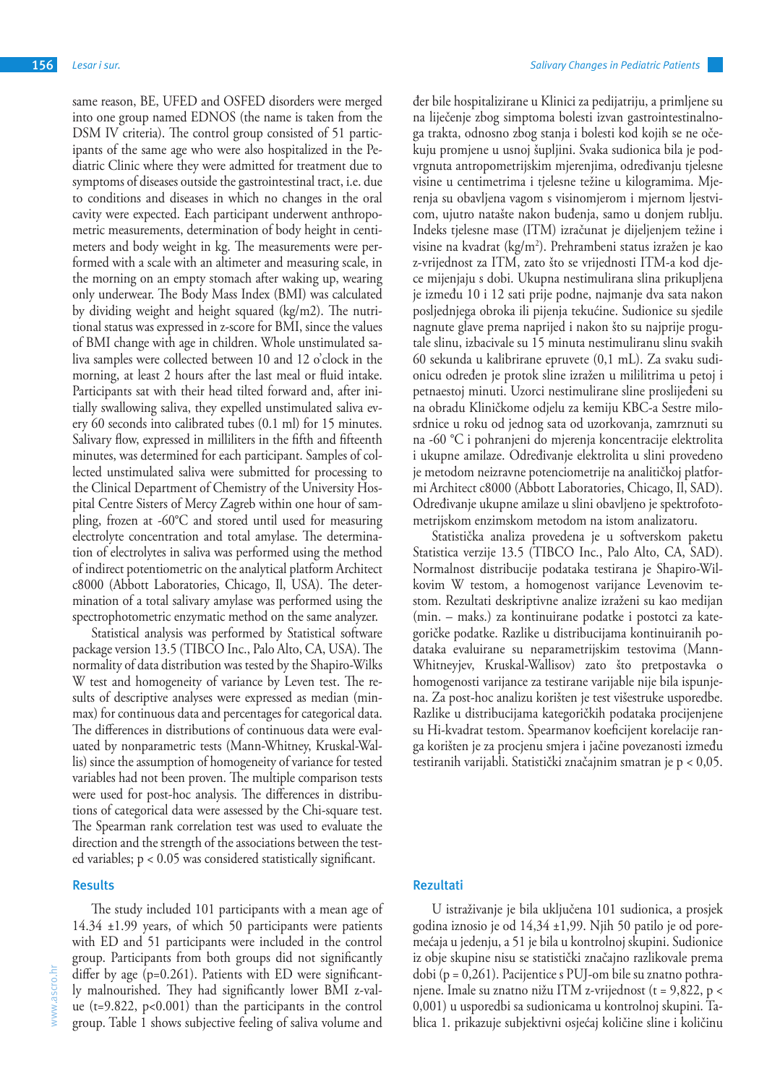same reason, BE, UFED and OSFED disorders were merged into one group named EDNOS (the name is taken from the DSM IV criteria). The control group consisted of 51 participants of the same age who were also hospitalized in the Pediatric Clinic where they were admitted for treatment due to symptoms of diseases outside the gastrointestinal tract, i.e. due to conditions and diseases in which no changes in the oral cavity were expected. Each participant underwent anthropometric measurements, determination of body height in centimeters and body weight in kg. The measurements were performed with a scale with an altimeter and measuring scale, in the morning on an empty stomach after waking up, wearing only underwear. The Body Mass Index (BMI) was calculated by dividing weight and height squared (kg/m2). The nutritional status was expressed in z-score for BMI, since the values of BMI change with age in children. Whole unstimulated saliva samples were collected between 10 and 12 o'clock in the morning, at least 2 hours after the last meal or fluid intake. Participants sat with their head tilted forward and, after initially swallowing saliva, they expelled unstimulated saliva every 60 seconds into calibrated tubes (0.1 ml) for 15 minutes. Salivary flow, expressed in milliliters in the fifth and fifteenth minutes, was determined for each participant. Samples of collected unstimulated saliva were submitted for processing to the Clinical Department of Chemistry of the University Hospital Centre Sisters of Mercy Zagreb within one hour of sampling, frozen at -60°C and stored until used for measuring electrolyte concentration and total amylase. The determination of electrolytes in saliva was performed using the method of indirect potentiometric on the analytical platform Architect c8000 (Abbott Laboratories, Chicago, Il, USA). The determination of a total salivary amylase was performed using the spectrophotometric enzymatic method on the same analyzer.

Statistical analysis was performed by Statistical software package version 13.5 (TIBCO Inc., Palo Alto, CA, USA). The normality of data distribution was tested by the Shapiro-Wilks W test and homogeneity of variance by Leven test. The results of descriptive analyses were expressed as median (minmax) for continuous data and percentages for categorical data. The differences in distributions of continuous data were evaluated by nonparametric tests (Mann-Whitney, Kruskal-Wallis) since the assumption of homogeneity of variance for tested variables had not been proven. The multiple comparison tests were used for post-hoc analysis. The differences in distributions of categorical data were assessed by the Chi-square test. The Spearman rank correlation test was used to evaluate the direction and the strength of the associations between the tested variables; p < 0.05 was considered statistically significant.

#### **Results**

The study included 101 participants with a mean age of 14.34 ±1.99 years, of which 50 participants were patients with ED and 51 participants were included in the control group. Participants from both groups did not significantly differ by age (p=0.261). Patients with ED were significantly malnourished. They had significantly lower BMI z-value ( $t=9.822$ ,  $p<0.001$ ) than the participants in the control group. Table 1 shows subjective feeling of saliva volume and

đer bile hospitalizirane u Klinici za pedijatriju, a primljene su na liječenje zbog simptoma bolesti izvan gastrointestinalnoga trakta, odnosno zbog stanja i bolesti kod kojih se ne očekuju promjene u usnoj šupljini. Svaka sudionica bila je podvrgnuta antropometrijskim mjerenjima, određivanju tjelesne visine u centimetrima i tjelesne težine u kilogramima. Mjerenja su obavljena vagom s visinomjerom i mjernom ljestvicom, ujutro natašte nakon buđenja, samo u donjem rublju. Indeks tjelesne mase (ITM) izračunat je dijeljenjem težine i visine na kvadrat (kg/m<sup>2</sup>). Prehrambeni status izražen je kao z-vrijednost za ITM, zato što se vrijednosti ITM-a kod djece mijenjaju s dobi. Ukupna nestimulirana slina prikupljena je između 10 i 12 sati prije podne, najmanje dva sata nakon posljednjega obroka ili pijenja tekućine. Sudionice su sjedile nagnute glave prema naprijed i nakon što su najprije progutale slinu, izbacivale su 15 minuta nestimuliranu slinu svakih 60 sekunda u kalibrirane epruvete (0,1 mL). Za svaku sudionicu određen je protok sline izražen u mililitrima u petoj i petnaestoj minuti. Uzorci nestimulirane sline proslijeđeni su na obradu Kliničkome odjelu za kemiju KBC-a Sestre milosrdnice u roku od jednog sata od uzorkovanja, zamrznuti su na -60 °C i pohranjeni do mjerenja koncentracije elektrolita i ukupne amilaze. Određivanje elektrolita u slini provedeno je metodom neizravne potenciometrije na analitičkoj platformi Architect c8000 (Abbott Laboratories, Chicago, Il, SAD). Određivanje ukupne amilaze u slini obavljeno je spektrofotometrijskom enzimskom metodom na istom analizatoru.

Statistička analiza provedena je u softverskom paketu Statistica verzije 13.5 (TIBCO Inc., Palo Alto, CA, SAD). Normalnost distribucije podataka testirana je Shapiro-Wilkovim W testom, a homogenost varijance Levenovim testom. Rezultati deskriptivne analize izraženi su kao medijan (min. – maks.) za kontinuirane podatke i postotci za kategoričke podatke. Razlike u distribucijama kontinuiranih podataka evaluirane su neparametrijskim testovima (Mann-Whitneyjev, Kruskal-Wallisov) zato što pretpostavka o homogenosti varijance za testirane varijable nije bila ispunjena. Za post-hoc analizu korišten je test višestruke usporedbe. Razlike u distribucijama kategoričkih podataka procijenjene su Hi-kvadrat testom. Spearmanov koeficijent korelacije ranga korišten je za procjenu smjera i jačine povezanosti između testiranih varijabli. Statistički značajnim smatran je p < 0,05.

## **Rezultati**

U istraživanje je bila uključena 101 sudionica, a prosjek godina iznosio je od 14,34 ±1,99. Njih 50 patilo je od poremećaja u jedenju, a 51 je bila u kontrolnoj skupini. Sudionice iz obje skupine nisu se statistički značajno razlikovale prema dobi (p = 0,261). Pacijentice s PUJ-om bile su znatno pothranjene. Imale su znatno nižu ITM z-vrijednost (t = 9,822, p < 0,001) u usporedbi sa sudionicama u kontrolnoj skupini. Tablica 1. prikazuje subjektivni osjećaj količine sline i količinu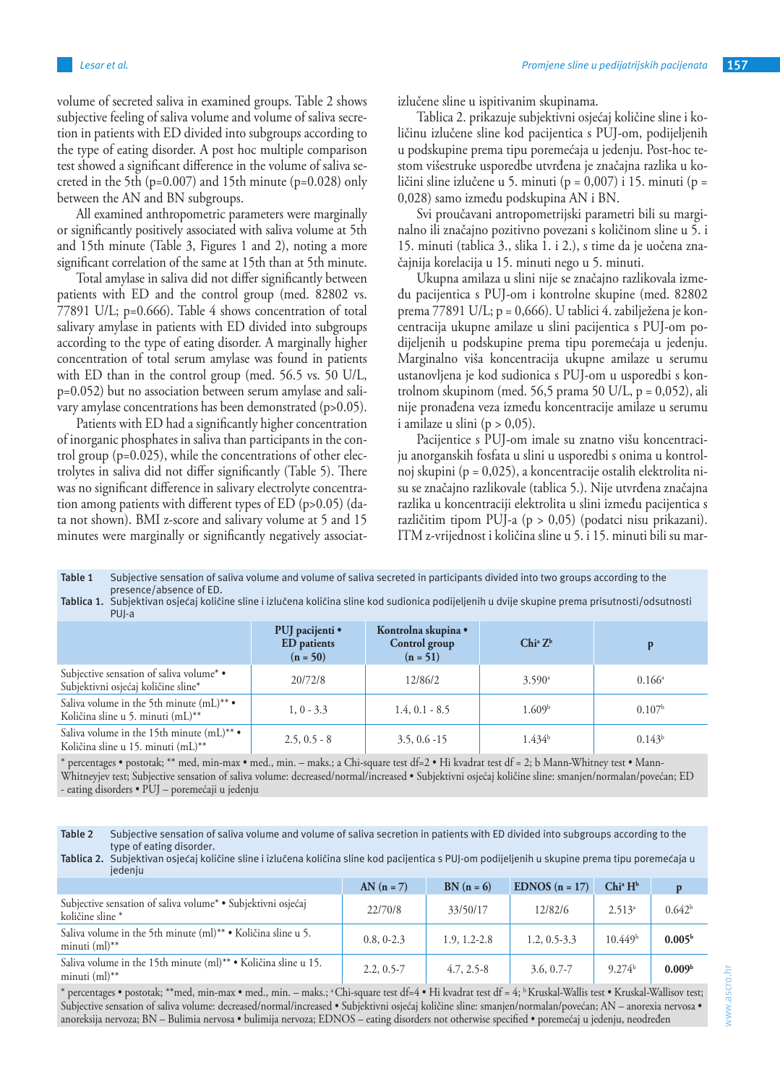volume of secreted saliva in examined groups. Table 2 shows subjective feeling of saliva volume and volume of saliva secretion in patients with ED divided into subgroups according to the type of eating disorder. A post hoc multiple comparison test showed a significant difference in the volume of saliva secreted in the 5th ( $p=0.007$ ) and 15th minute ( $p=0.028$ ) only between the AN and BN subgroups.

All examined anthropometric parameters were marginally or significantly positively associated with saliva volume at 5th and 15th minute (Table 3, Figures 1 and 2), noting a more significant correlation of the same at 15th than at 5th minute.

Total amylase in saliva did not differ significantly between patients with ED and the control group (med. 82802 vs. 77891 U/L; p=0.666). Table 4 shows concentration of total salivary amylase in patients with ED divided into subgroups according to the type of eating disorder. A marginally higher concentration of total serum amylase was found in patients with ED than in the control group (med. 56.5 vs. 50 U/L, p=0.052) but no association between serum amylase and salivary amylase concentrations has been demonstrated (p>0.05).

Patients with ED had a significantly higher concentration of inorganic phosphates in saliva than participants in the control group (p=0.025), while the concentrations of other electrolytes in saliva did not differ significantly (Table 5). There was no significant difference in salivary electrolyte concentration among patients with different types of ED (p>0.05) (data not shown). BMI z-score and salivary volume at 5 and 15 minutes were marginally or significantly negatively associatizlučene sline u ispitivanim skupinama.

Tablica 2. prikazuje subjektivni osjećaj količine sline i količinu izlučene sline kod pacijentica s PUJ-om, podijeljenih u podskupine prema tipu poremećaja u jedenju. Post-hoc testom višestruke usporedbe utvrđena je značajna razlika u količini sline izlučene u 5. minuti (p =  $0.007$ ) i 15. minuti (p = 0,028) samo između podskupina AN i BN.

Svi proučavani antropometrijski parametri bili su marginalno ili značajno pozitivno povezani s količinom sline u 5. i 15. minuti (tablica 3., slika 1. i 2.), s time da je uočena značajnija korelacija u 15. minuti nego u 5. minuti.

Ukupna amilaza u slini nije se značajno razlikovala između pacijentica s PUJ-om i kontrolne skupine (med. 82802 prema 77891 U/L; p = 0,666). U tablici 4. zabilježena je koncentracija ukupne amilaze u slini pacijentica s PUJ-om podijeljenih u podskupine prema tipu poremećaja u jedenju. Marginalno viša koncentracija ukupne amilaze u serumu ustanovljena je kod sudionica s PUJ-om u usporedbi s kontrolnom skupinom (med. 56,5 prama 50 U/L, p = 0,052), ali nije pronađena veza između koncentracije amilaze u serumu i amilaze u slini  $(p > 0.05)$ .

Pacijentice s PUJ-om imale su znatno višu koncentraciju anorganskih fosfata u slini u usporedbi s onima u kontrolnoj skupini (p = 0,025), a koncentracije ostalih elektrolita nisu se značajno razlikovale (tablica 5.). Nije utvrđena značajna razlika u koncentraciji elektrolita u slini između pacijentica s različitim tipom PUJ-a (p > 0,05) (podatci nisu prikazani). ITM z-vrijednost i količina sline u 5. i 15. minuti bili su mar-

**Table 1** Subjective sensation of saliva volume and volume of saliva secreted in participants divided into two groups according to the presence/absence of ED.

**Tablica 1.** Subjektivan osjećaj količine sline i izlučena količina sline kod sudionica podijeljenih u dvije skupine prema prisutnosti/odsutnosti PUJ-a

|                                                                                             | PUJ pacijenti •<br><b>ED</b> patients<br>$(n = 50)$ | Kontrolna skupina •<br>Control group<br>$(n = 51)$ | $Chi^a Z^b$          | p                  |
|---------------------------------------------------------------------------------------------|-----------------------------------------------------|----------------------------------------------------|----------------------|--------------------|
| Subjective sensation of saliva volume* •<br>Subjektivni osjećaj količine sline*             | 20/72/8                                             | 12/86/2                                            | $3.590$ <sup>a</sup> | $0.166^{\circ}$    |
| Saliva volume in the 5th minute $(mL)$ <sup>**</sup> •<br>Količina sline u 5. minuti (mL)** | $1, 0 - 3.3$                                        | $1.4, 0.1 - 8.5$                                   | 1.609 <sup>b</sup>   | 0.107 <sup>b</sup> |
| Saliva volume in the 15th minute (mL) <sup>**</sup> •<br>Količina sline u 15. minuti (mL)** | $2.5, 0.5 - 8$                                      | $3.5, 0.6 - 15$                                    | 1.434 <sup>b</sup>   | $0.143^b$          |

\* percentages • postotak; \*\* med, min-max • med., min. – maks.; a Chi-square test df=2 • Hi kvadrat test df = 2; b Mann-Whitney test • Mann-Whitneyjev test; Subjective sensation of saliva volume: decreased/normal/increased • Subjektivni osjećaj količine sline: smanjen/normalan/povećan; ED - eating disorders • PUJ – poremećaji u jedenju

**Table 2** Subjective sensation of saliva volume and volume of saliva secretion in patients with ED divided into subgroups according to the type of eating disorder.

|         | Tablica 2. Subjektivan osjećaj količine sline i izlučena količina sline kod pacijentica s PUJ-om podijeljenih u skupine prema tipu poremećaja u |  |  |  |  |  |
|---------|-------------------------------------------------------------------------------------------------------------------------------------------------|--|--|--|--|--|
| jedenju |                                                                                                                                                 |  |  |  |  |  |

|                                                                                                  | $AN(n = 7)$    | $BN(n = 6)$      | EDNOS $(n = 17)$ | $Chi^a H^b$         |                    |
|--------------------------------------------------------------------------------------------------|----------------|------------------|------------------|---------------------|--------------------|
| Subjective sensation of saliva volume <sup>*</sup> • Subjektivni osjećaj<br>količine sline *     | 22/70/8        | 33/50/17         | 12/82/6          | 2.513 <sup>a</sup>  | 0.642 <sup>b</sup> |
| Saliva volume in the 5th minute (ml) <sup>**</sup> • Količina sline u 5.<br>minuti $(m!)^{**}$   | 0.8, 0.2.3     | $1.9, 1.2 - 2.8$ | $1.2, 0.5 - 3.3$ | 10.449 <sup>b</sup> | 0.005 <sup>b</sup> |
| Saliva volume in the 15th minute (ml) <sup>**</sup> • Količina sline u 15.<br>minuti $(m!)^{**}$ | $2.2, 0.5 - 7$ | $4.7, 2.5 - 8$   | $3.6, 0.7 - 7$   | 9.274 <sup>b</sup>  | 0.009 <sup>b</sup> |

\* percentages • postotak; \*\*med, min-max • med., min. – maks.; a Chi-square test df=4 • Hi kvadrat test df = 4; b Kruskal-Wallis test • Kruskal-Wallisov test; Subjective sensation of saliva volume: decreased/normal/increased • Subjektivni osjećaj količine sline: smanjen/normalan/povećan; AN – anorexia nervosa • anoreksija nervoza; BN – Bulimia nervosa • bulimija nervoza; EDNOS – eating disorders not otherwise specified • poremećaj u jedenju, neodređen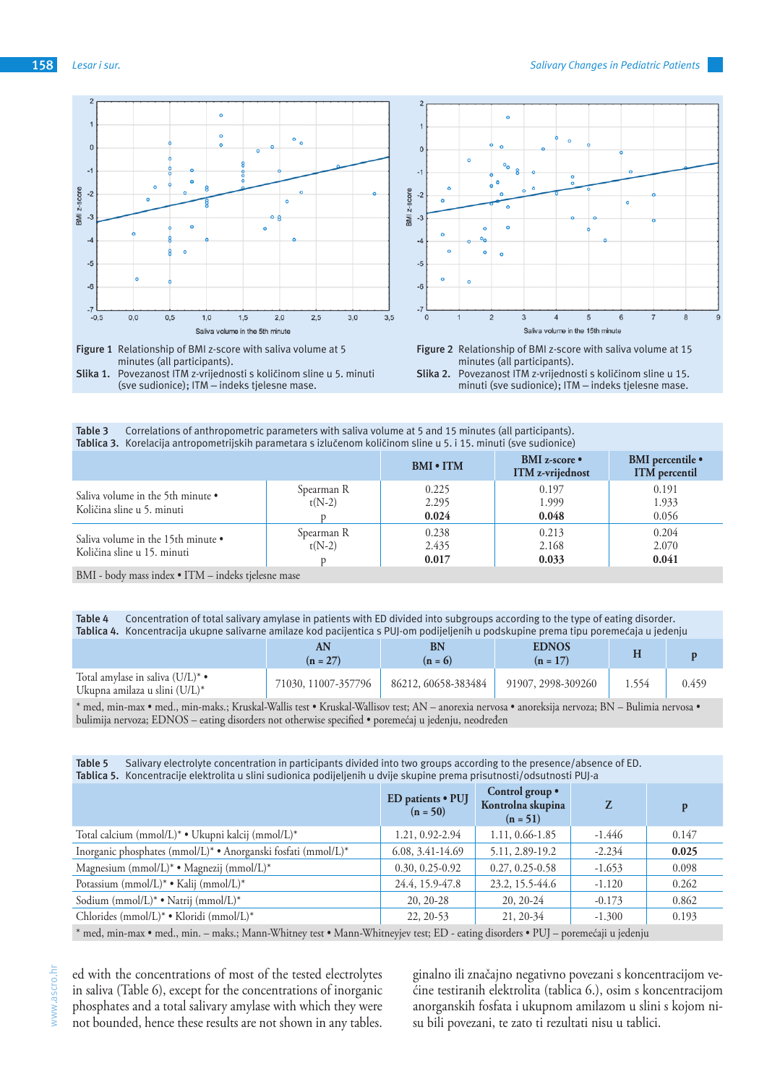



minuti (sve sudionice); ITM – indeks tjelesne mase.

| Correlations of anthropometric parameters with saliva volume at 5 and 15 minutes (all participants).<br>Table 3<br>Tablica 3. Korelacija antropometrijskih parametara s izlučenom količinom sline u 5. i 15. minuti (sve sudionice) |                        |                         |                                          |                                                 |  |  |  |
|-------------------------------------------------------------------------------------------------------------------------------------------------------------------------------------------------------------------------------------|------------------------|-------------------------|------------------------------------------|-------------------------------------------------|--|--|--|
|                                                                                                                                                                                                                                     |                        | <b>BMI • ITM</b>        | BMI z-score •<br><b>ITM</b> z-vrijednost | <b>BMI</b> percentile •<br><b>ITM</b> percentil |  |  |  |
| Saliva volume in the 5th minute •<br>Količina sline u 5. minuti                                                                                                                                                                     | Spearman R<br>$t(N-2)$ | 0.225<br>2.295<br>0.024 | 0.197<br>1.999<br>0.048                  | 0.191<br>1.933<br>0.056                         |  |  |  |
| Saliva volume in the 15th minute •<br>Količina sline u 15. minuti                                                                                                                                                                   | Spearman R<br>$t(N-2)$ | 0.238<br>2.435<br>0.017 | 0.213<br>2.168<br>0.033                  | 0.204<br>2.070<br>0.041                         |  |  |  |

BMI - body mass index • ITM – indeks tjelesne mase

#### **Table 4** Concentration of total salivary amylase in patients with ED divided into subgroups according to the type of eating disorder. **Tablica 4.** Koncentracija ukupne salivarne amilaze kod pacijentica s PUJ-om podijeljenih u podskupine prema tipu poremećaja u jedenju

|                                                                      | AΝ<br>$(n = 27)$    | BN<br>$(n = 6)$     | <b>EDNOS</b><br>$(n = 17)$ | . . |       |
|----------------------------------------------------------------------|---------------------|---------------------|----------------------------|-----|-------|
| Total amylase in saliva $(U/L)^*$ •<br>Ukupna amilaza u slini (U/L)* | 71030, 11007-357796 | 86212, 60658-383484 | 91907, 2998-309260         |     | 0.459 |

\* med, min-max • med., min-maks.; Kruskal-Wallis test • Kruskal-Wallisov test; AN – anorexia nervosa • anoreksija nervoza; BN – Bulimia nervosa • bulimija nervoza; EDNOS – eating disorders not otherwise specified • poremećaj u jedenju, neodređen

#### **Table 5** Salivary electrolyte concentration in participants divided into two groups according to the presence/absence of ED. **Tablica 5.** Koncentracije elektrolita u slini sudionica podijeljenih u dvije skupine prema prisutnosti/odsutnosti PUJ-a

|                                                               | ED patients · PUJ<br>$(n = 50)$ | Control group $\bullet$<br>Kontrolna skupina<br>$(n = 51)$ | Z        | p     |
|---------------------------------------------------------------|---------------------------------|------------------------------------------------------------|----------|-------|
| Total calcium (mmol/L)* • Ukupni kalcij (mmol/L)*             | 1.21, 0.92-2.94                 | 1.11, 0.66-1.85                                            | $-1.446$ | 0.147 |
| Inorganic phosphates (mmol/L)* • Anorganski fosfati (mmol/L)* | 6.08, 3.41-14.69                | 5.11, 2.89-19.2                                            | $-2.234$ | 0.025 |
| Magnesium (mmol/L)* • Magnezij (mmol/L)*                      | $0.30, 0.25 - 0.92$             | $0.27, 0.25 - 0.58$                                        | $-1.653$ | 0.098 |
| Potassium (mmol/L)* • Kalij (mmol/L)*                         | 24.4, 15.9-47.8                 | 23.2, 15.5-44.6                                            | $-1.120$ | 0.262 |
| Sodium (mmol/L)* • Natrij (mmol/L)*                           | $20, 20-28$                     | $20, 20-24$                                                | $-0.173$ | 0.862 |
| Chlorides (mmol/L)* • Kloridi (mmol/L)*                       | 22, 20-53                       | 21, 20-34                                                  | $-1.300$ | 0.193 |
|                                                               |                                 |                                                            |          |       |

\* med, min-max • med., min. – maks.; Mann-Whitney test • Mann-Whitneyjev test; ED - eating disorders • PUJ – poremećaji u jedenju

ed with the concentrations of most of the tested electrolytes in saliva (Table 6), except for the concentrations of inorganic phosphates and a total salivary amylase with which they were not bounded, hence these results are not shown in any tables.

ginalno ili značajno negativno povezani s koncentracijom većine testiranih elektrolita (tablica 6.), osim s koncentracijom anorganskih fosfata i ukupnom amilazom u slini s kojom nisu bili povezani, te zato ti rezultati nisu u tablici.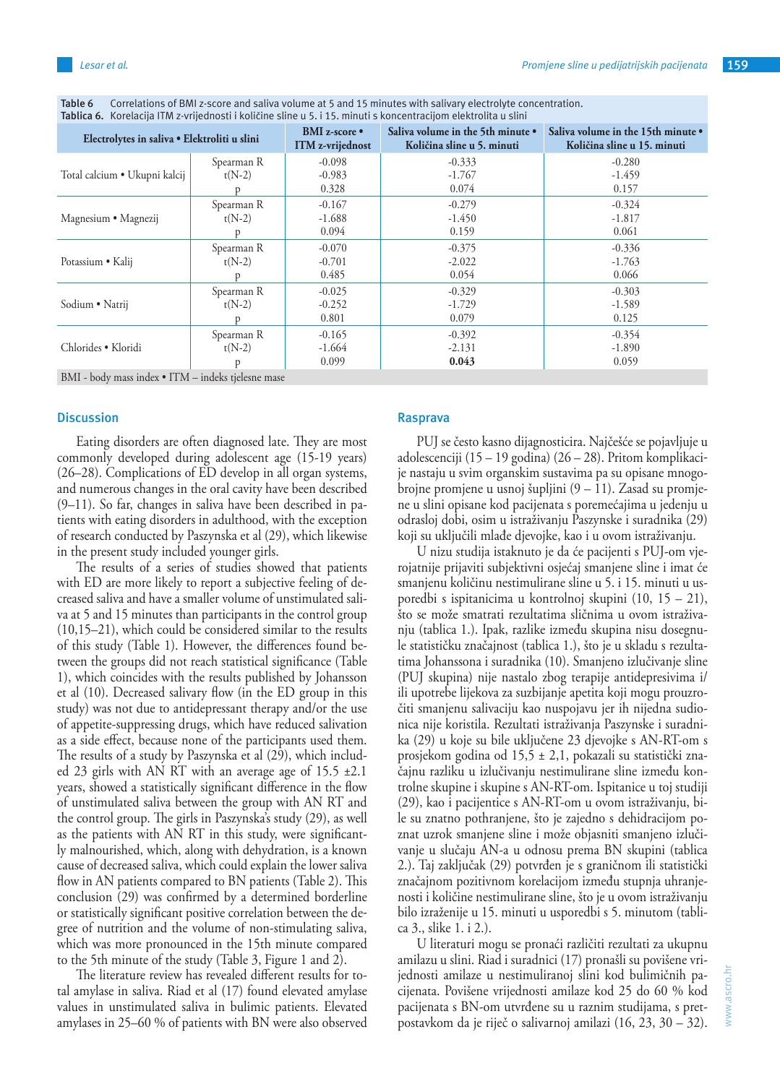| Electrolytes in saliva · Elektroliti u slini       |                        | <b>BMI</b> z-score •<br>ITM z-vrijednost | Saliva volume in the 5th minute •<br>Količina sline u 5. minuti | Saliva volume in the 15th minute •<br>Količina sline u 15. minuti |
|----------------------------------------------------|------------------------|------------------------------------------|-----------------------------------------------------------------|-------------------------------------------------------------------|
| Total calcium • Ukupni kalcij                      | Spearman R<br>$t(N-2)$ | $-0.098$<br>$-0.983$<br>0.328            | $-0.333$<br>$-1.767$<br>0.074                                   | $-0.280$<br>$-1.459$<br>0.157                                     |
| Magnesium • Magnezij                               | Spearman R<br>$t(N-2)$ | $-0.167$<br>$-1.688$<br>0.094            | $-0.279$<br>$-1.450$<br>0.159                                   | $-0.324$<br>$-1.817$<br>0.061                                     |
| Potassium • Kalij                                  | Spearman R<br>$t(N-2)$ | $-0.070$<br>$-0.701$<br>0.485            | $-0.375$<br>$-2.022$<br>0.054                                   | $-0.336$<br>$-1.763$<br>0.066                                     |
| Sodium • Natrij                                    | Spearman R<br>$t(N-2)$ | $-0.025$<br>$-0.252$<br>0.801            | $-0.329$<br>$-1.729$<br>0.079                                   | $-0.303$<br>$-1.589$<br>0.125                                     |
| Chlorides . Kloridi                                | Spearman R<br>$t(N-2)$ | $-0.165$<br>$-1.664$<br>0.099            | $-0.392$<br>$-2.131$<br>0.043                                   | $-0.354$<br>$-1.890$<br>0.059                                     |
| BMI - body mass index • ITM – indeks tjelesne mase |                        |                                          |                                                                 |                                                                   |

**Table 6** Correlations of BMI z-score and saliva volume at 5 and 15 minutes with salivary electrolyte concentration. **Tablica 6.** Korelacija ITM z-vrijednosti i količine sline u 5. i 15. minuti s koncentracijom elektrolita u slini

#### **Discussion**

Eating disorders are often diagnosed late. They are most commonly developed during adolescent age (15-19 years) (26–28). Complications of ED develop in all organ systems, and numerous changes in the oral cavity have been described (9–11). So far, changes in saliva have been described in patients with eating disorders in adulthood, with the exception of research conducted by Paszynska et al (29), which likewise in the present study included younger girls.

The results of a series of studies showed that patients with ED are more likely to report a subjective feeling of decreased saliva and have a smaller volume of unstimulated saliva at 5 and 15 minutes than participants in the control group (10,15–21), which could be considered similar to the results of this study (Table 1). However, the differences found between the groups did not reach statistical significance (Table 1), which coincides with the results published by Johansson et al (10). Decreased salivary flow (in the ED group in this study) was not due to antidepressant therapy and/or the use of appetite-suppressing drugs, which have reduced salivation as a side effect, because none of the participants used them. The results of a study by Paszynska et al (29), which included 23 girls with AN RT with an average age of 15.5 ±2.1 years, showed a statistically significant difference in the flow of unstimulated saliva between the group with AN RT and the control group. The girls in Paszynska's study (29), as well as the patients with AN RT in this study, were significantly malnourished, which, along with dehydration, is a known cause of decreased saliva, which could explain the lower saliva flow in AN patients compared to BN patients (Table 2). This conclusion (29) was confirmed by a determined borderline or statistically significant positive correlation between the degree of nutrition and the volume of non-stimulating saliva, which was more pronounced in the 15th minute compared to the 5th minute of the study (Table 3, Figure 1 and 2).

The literature review has revealed different results for total amylase in saliva. Riad et al (17) found elevated amylase values in unstimulated saliva in bulimic patients. Elevated amylases in 25–60 % of patients with BN were also observed

#### **Rasprava**

PUJ se često kasno dijagnosticira. Najčešće se pojavljuje u adolescenciji (15 – 19 godina) (26 – 28). Pritom komplikacije nastaju u svim organskim sustavima pa su opisane mnogobrojne promjene u usnoj šupljini (9 – 11). Zasad su promjene u slini opisane kod pacijenata s poremećajima u jedenju u odrasloj dobi, osim u istraživanju Paszynske i suradnika (29) koji su uključili mlađe djevojke, kao i u ovom istraživanju.

U nizu studija istaknuto je da će pacijenti s PUJ-om vjerojatnije prijaviti subjektivni osjećaj smanjene sline i imat će smanjenu količinu nestimulirane sline u 5. i 15. minuti u usporedbi s ispitanicima u kontrolnoj skupini (10, 15 – 21), što se može smatrati rezultatima sličnima u ovom istraživanju (tablica 1.). Ipak, razlike između skupina nisu dosegnule statističku značajnost (tablica 1.), što je u skladu s rezultatima Johanssona i suradnika (10). Smanjeno izlučivanje sline (PUJ skupina) nije nastalo zbog terapije antidepresivima i/ ili upotrebe lijekova za suzbijanje apetita koji mogu prouzročiti smanjenu salivaciju kao nuspojavu jer ih nijedna sudionica nije koristila. Rezultati istraživanja Paszynske i suradnika (29) u koje su bile uključene 23 djevojke s AN-RT-om s prosjekom godina od 15,5 ± 2,1, pokazali su statistički značajnu razliku u izlučivanju nestimulirane sline između kontrolne skupine i skupine s AN-RT-om. Ispitanice u toj studiji (29), kao i pacijentice s AN-RT-om u ovom istraživanju, bile su znatno pothranjene, što je zajedno s dehidracijom poznat uzrok smanjene sline i može objasniti smanjeno izlučivanje u slučaju AN-a u odnosu prema BN skupini (tablica 2.). Taj zaključak (29) potvrđen je s graničnom ili statistički značajnom pozitivnom korelacijom između stupnja uhranjenosti i količine nestimulirane sline, što je u ovom istraživanju bilo izraženije u 15. minuti u usporedbi s 5. minutom (tablica 3., slike 1. i 2.).

U literaturi mogu se pronaći različiti rezultati za ukupnu amilazu u slini. Riad i suradnici (17) pronašli su povišene vrijednosti amilaze u nestimuliranoj slini kod bulimičnih pacijenata. Povišene vrijednosti amilaze kod 25 do 60 % kod pacijenata s BN-om utvrđene su u raznim studijama, s pretpostavkom da je riječ o salivarnoj amilazi (16, 23, 30 – 32).

www.ascro.hr

www.ascro.hr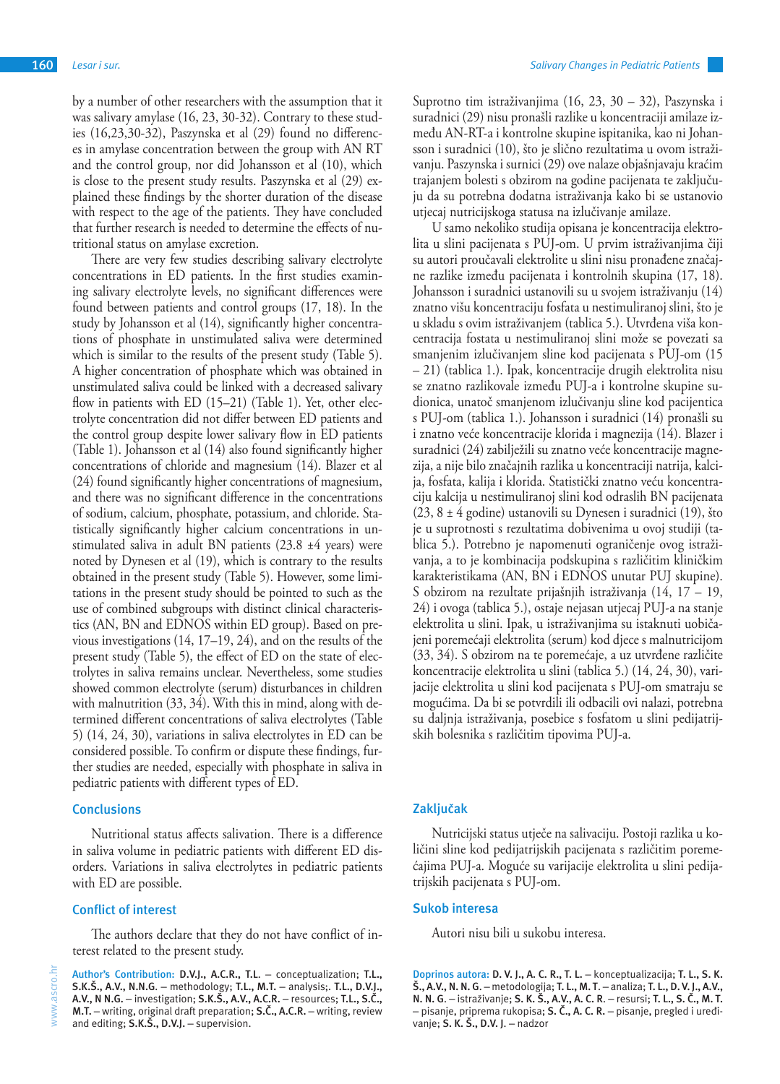by a number of other researchers with the assumption that it was salivary amylase (16, 23, 30-32). Contrary to these studies (16,23,30-32), Paszynska et al (29) found no differences in amylase concentration between the group with AN RT and the control group, nor did Johansson et al (10), which is close to the present study results. Paszynska et al (29) explained these findings by the shorter duration of the disease with respect to the age of the patients. They have concluded that further research is needed to determine the effects of nutritional status on amylase excretion.

There are very few studies describing salivary electrolyte concentrations in ED patients. In the first studies examining salivary electrolyte levels, no significant differences were found between patients and control groups (17, 18). In the study by Johansson et al (14), significantly higher concentrations of phosphate in unstimulated saliva were determined which is similar to the results of the present study (Table 5). A higher concentration of phosphate which was obtained in unstimulated saliva could be linked with a decreased salivary flow in patients with ED (15–21) (Table 1). Yet, other electrolyte concentration did not differ between ED patients and the control group despite lower salivary flow in ED patients (Table 1). Johansson et al (14) also found significantly higher concentrations of chloride and magnesium (14). Blazer et al (24) found significantly higher concentrations of magnesium, and there was no significant difference in the concentrations of sodium, calcium, phosphate, potassium, and chloride. Statistically significantly higher calcium concentrations in unstimulated saliva in adult BN patients  $(23.8 \pm 4 \text{ years})$  were noted by Dynesen et al (19), which is contrary to the results obtained in the present study (Table 5). However, some limitations in the present study should be pointed to such as the use of combined subgroups with distinct clinical characteristics (AN, BN and EDNOS within ED group). Based on previous investigations (14, 17–19, 24), and on the results of the present study (Table 5), the effect of ED on the state of electrolytes in saliva remains unclear. Nevertheless, some studies showed common electrolyte (serum) disturbances in children with malnutrition (33, 34). With this in mind, along with determined different concentrations of saliva electrolytes (Table 5) (14, 24, 30), variations in saliva electrolytes in ED can be considered possible. To confirm or dispute these findings, further studies are needed, especially with phosphate in saliva in pediatric patients with different types of ED.

#### **Conclusions**

Nutritional status affects salivation. There is a difference in saliva volume in pediatric patients with different ED disorders. Variations in saliva electrolytes in pediatric patients with ED are possible.

#### **Conflict of interest**

The authors declare that they do not have conflict of interest related to the present study.

Suprotno tim istraživanjima (16, 23, 30 – 32), Paszynska i suradnici (29) nisu pronašli razlike u koncentraciji amilaze između AN-RT-a i kontrolne skupine ispitanika, kao ni Johansson i suradnici (10), što je slično rezultatima u ovom istraživanju. Paszynska i surnici (29) ove nalaze objašnjavaju kraćim trajanjem bolesti s obzirom na godine pacijenata te zaključuju da su potrebna dodatna istraživanja kako bi se ustanovio utjecaj nutricijskoga statusa na izlučivanje amilaze.

U samo nekoliko studija opisana je koncentracija elektrolita u slini pacijenata s PUJ-om. U prvim istraživanjima čiji su autori proučavali elektrolite u slini nisu pronađene značajne razlike između pacijenata i kontrolnih skupina (17, 18). Johansson i suradnici ustanovili su u svojem istraživanju (14) znatno višu koncentraciju fosfata u nestimuliranoj slini, što je u skladu s ovim istraživanjem (tablica 5.). Utvrđena viša koncentracija fostata u nestimuliranoj slini može se povezati sa smanjenim izlučivanjem sline kod pacijenata s PUJ-om (15 – 21) (tablica 1.). Ipak, koncentracije drugih elektrolita nisu se znatno razlikovale između PUJ-a i kontrolne skupine sudionica, unatoč smanjenom izlučivanju sline kod pacijentica s PUJ-om (tablica 1.). Johansson i suradnici (14) pronašli su i znatno veće koncentracije klorida i magnezija (14). Blazer i suradnici (24) zabilježili su znatno veće koncentracije magnezija, a nije bilo značajnih razlika u koncentraciji natrija, kalcija, fosfata, kalija i klorida. Statistički znatno veću koncentraciju kalcija u nestimuliranoj slini kod odraslih BN pacijenata (23, 8 ± 4 godine) ustanovili su Dynesen i suradnici (19), što je u suprotnosti s rezultatima dobivenima u ovoj studiji (tablica 5.). Potrebno je napomenuti ograničenje ovog istraživanja, a to je kombinacija podskupina s različitim kliničkim karakteristikama (AN, BN i EDNOS unutar PUJ skupine). S obzirom na rezultate prijašnjih istraživanja (14, 17 – 19, 24) i ovoga (tablica 5.), ostaje nejasan utjecaj PUJ-a na stanje elektrolita u slini. Ipak, u istraživanjima su istaknuti uobičajeni poremećaji elektrolita (serum) kod djece s malnutricijom (33, 34). S obzirom na te poremećaje, a uz utvrđene različite koncentracije elektrolita u slini (tablica 5.) (14, 24, 30), varijacije elektrolita u slini kod pacijenata s PUJ-om smatraju se mogućima. Da bi se potvrdili ili odbacili ovi nalazi, potrebna su daljnja istraživanja, posebice s fosfatom u slini pedijatrijskih bolesnika s različitim tipovima PUJ-a.

### **Zaključak**

Nutricijski status utječe na salivaciju. Postoji razlika u količini sline kod pedijatrijskih pacijenata s različitim poremećajima PUJ-a. Moguće su varijacije elektrolita u slini pedijatrijskih pacijenata s PUJ-om.

#### **Sukob interesa**

Autori nisu bili u sukobu interesa.

**Doprinos autora: D. V. J., A. C. R., T. L.** – konceptualizacija; **T. L., S. K. Š., A.V., N. N. G**. – metodologija; **T. L., M. T**. – analiza; **T. L., D. V. J., A.V., N. N. G**. – istraživanje; **S. K. Š., A.V., A. C. R**. – resursi; **T. L., S. Č., M. T.** – pisanje, priprema rukopisa; **S. Č., A. C. R.** – pisanje, pregled i uređivanje; **S. K. Š., D.V. J**. – nadzor